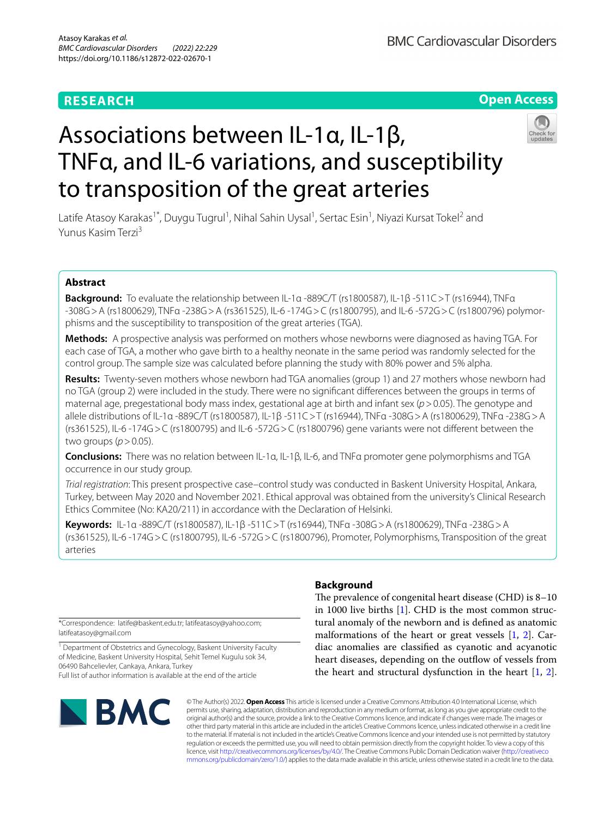# **RESEARCH**

# **Open Access**

# Associations between IL-1α, IL-1β, TNFα, and IL-6 variations, and susceptibility to transposition of the great arteries



Latife Atasoy Karakas<sup>1\*</sup>, Duygu Tugrul<sup>1</sup>, Nihal Sahin Uysal<sup>1</sup>, Sertac Esin<sup>1</sup>, Niyazi Kursat Tokel<sup>2</sup> and Yunus Kasim Terzi3

# **Abstract**

**Background:** To evaluate the relationship between IL-1α -889C/T (rs1800587), IL-1β -511C>T (rs16944), TNFα -308G>A (rs1800629), TNFα -238G>A (rs361525), IL-6 -174G>C (rs1800795), and IL-6 -572G>C (rs1800796) polymorphisms and the susceptibility to transposition of the great arteries (TGA).

**Methods:** A prospective analysis was performed on mothers whose newborns were diagnosed as having TGA. For each case of TGA, a mother who gave birth to a healthy neonate in the same period was randomly selected for the control group. The sample size was calculated before planning the study with 80% power and 5% alpha.

**Results:** Twenty-seven mothers whose newborn had TGA anomalies (group 1) and 27 mothers whose newborn had no TGA (group 2) were included in the study. There were no signifcant diferences between the groups in terms of maternal age, pregestational body mass index, gestational age at birth and infant sex (*p*>0.05). The genotype and allele distributions of IL-1α -889C/T (rs1800587), IL-1β -511C>T (rs16944), TNFα -308G>A (rs1800629), TNFα -238G>A (rs361525), IL-6 -174G>C (rs1800795) and IL-6 -572G>C (rs1800796) gene variants were not diferent between the two groups  $(p > 0.05)$ .

**Conclusions:** There was no relation between IL-1α, IL-1β, IL-6, and TNFα promoter gene polymorphisms and TGA occurrence in our study group.

*Trial registration*: This present prospective case–control study was conducted in Baskent University Hospital, Ankara, Turkey, between May 2020 and November 2021. Ethical approval was obtained from the university's Clinical Research Ethics Commitee (No: KA20/211) in accordance with the Declaration of Helsinki.

**Keywords:** IL-1α -889C/T (rs1800587), IL-1β -511C>T (rs16944), TNFα -308G>A (rs1800629), TNFα -238G>A (rs361525), IL-6 -174G>C (rs1800795), IL-6 -572G>C (rs1800796), Promoter, Polymorphisms, Transposition of the great arteries

\*Correspondence: latife@baskent.edu.tr; latifeatasoy@yahoo.com; latifeatasoy@gmail.com

<sup>1</sup> Department of Obstetrics and Gynecology, Baskent University Faculty of Medicine, Baskent University Hospital, Sehit Temel Kugulu sok 34, 06490 Bahcelievler, Cankaya, Ankara, Turkey Full list of author information is available at the end of the article

# **BMC**

# **Background**

The prevalence of congenital heart disease (CHD) is  $8-10$ in 1000 live births [[1\]](#page-4-0). CHD is the most common structural anomaly of the newborn and is defned as anatomic malformations of the heart or great vessels [[1,](#page-4-0) [2\]](#page-4-1). Cardiac anomalies are classifed as cyanotic and acyanotic heart diseases, depending on the outflow of vessels from the heart and structural dysfunction in the heart [\[1](#page-4-0), [2](#page-4-1)].

© The Author(s) 2022. **Open Access** This article is licensed under a Creative Commons Attribution 4.0 International License, which permits use, sharing, adaptation, distribution and reproduction in any medium or format, as long as you give appropriate credit to the original author(s) and the source, provide a link to the Creative Commons licence, and indicate if changes were made. The images or other third party material in this article are included in the article's Creative Commons licence, unless indicated otherwise in a credit line to the material. If material is not included in the article's Creative Commons licence and your intended use is not permitted by statutory regulation or exceeds the permitted use, you will need to obtain permission directly from the copyright holder. To view a copy of this licence, visit [http://creativecommons.org/licenses/by/4.0/.](http://creativecommons.org/licenses/by/4.0/) The Creative Commons Public Domain Dedication waiver ([http://creativeco](http://creativecommons.org/publicdomain/zero/1.0/) [mmons.org/publicdomain/zero/1.0/](http://creativecommons.org/publicdomain/zero/1.0/)) applies to the data made available in this article, unless otherwise stated in a credit line to the data.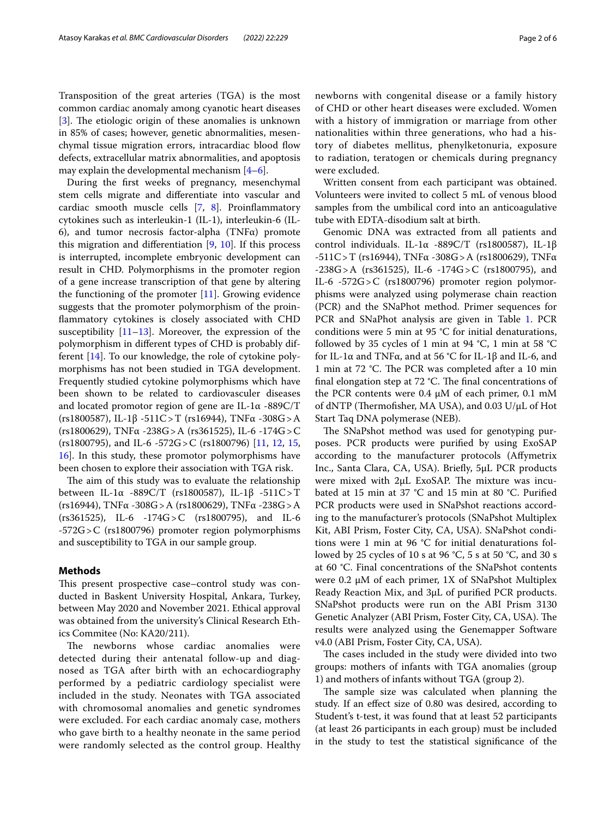Transposition of the great arteries (TGA) is the most common cardiac anomaly among cyanotic heart diseases [[3\]](#page-4-2). The etiologic origin of these anomalies is unknown in 85% of cases; however, genetic abnormalities, mesenchymal tissue migration errors, intracardiac blood flow defects, extracellular matrix abnormalities, and apoptosis may explain the developmental mechanism  $[4-6]$  $[4-6]$ .

During the frst weeks of pregnancy, mesenchymal stem cells migrate and diferentiate into vascular and cardiac smooth muscle cells [[7,](#page-4-5) [8\]](#page-4-6). Proinfammatory cytokines such as interleukin-1 (IL-1), interleukin-6 (IL-6), and tumor necrosis factor-alpha (TNF $\alpha$ ) promote this migration and differentiation  $[9, 10]$  $[9, 10]$  $[9, 10]$ . If this process is interrupted, incomplete embryonic development can result in CHD. Polymorphisms in the promoter region of a gene increase transcription of that gene by altering the functioning of the promoter [[11\]](#page-4-9). Growing evidence suggests that the promoter polymorphism of the proinfammatory cytokines is closely associated with CHD susceptibility  $[11–13]$  $[11–13]$ . Moreover, the expression of the polymorphism in diferent types of CHD is probably different [[14\]](#page-5-1). To our knowledge, the role of cytokine polymorphisms has not been studied in TGA development. Frequently studied cytokine polymorphisms which have been shown to be related to cardiovasculer diseases and located promotor region of gene are IL-1α -889C/T (rs1800587), IL-1β -511C>T (rs16944), TNFα -308G>A (rs1800629), TNFα -238G>A (rs361525), IL-6 -174G>C (rs1800795), and IL-6 -572G>C (rs1800796) [[11,](#page-4-9) [12,](#page-4-10) [15](#page-5-2), [16\]](#page-5-3). In this study, these promotor polymorphisms have been chosen to explore their association with TGA risk.

The aim of this study was to evaluate the relationship between IL-1α -889C/T (rs1800587), IL-1β -511C>T (rs16944), TNFα -308G>A (rs1800629), TNFα -238G>A (rs361525), IL-6 -174G>C (rs1800795), and IL-6 -572G>C (rs1800796) promoter region polymorphisms and susceptibility to TGA in our sample group.

# **Methods**

This present prospective case–control study was conducted in Baskent University Hospital, Ankara, Turkey, between May 2020 and November 2021. Ethical approval was obtained from the university's Clinical Research Ethics Commitee (No: KA20/211).

The newborns whose cardiac anomalies were detected during their antenatal follow-up and diagnosed as TGA after birth with an echocardiography performed by a pediatric cardiology specialist were included in the study. Neonates with TGA associated with chromosomal anomalies and genetic syndromes were excluded. For each cardiac anomaly case, mothers who gave birth to a healthy neonate in the same period were randomly selected as the control group. Healthy newborns with congenital disease or a family history of CHD or other heart diseases were excluded. Women with a history of immigration or marriage from other nationalities within three generations, who had a history of diabetes mellitus, phenylketonuria, exposure to radiation, teratogen or chemicals during pregnancy were excluded.

Written consent from each participant was obtained. Volunteers were invited to collect 5 mL of venous blood samples from the umbilical cord into an anticoagulative tube with EDTA-disodium salt at birth.

Genomic DNA was extracted from all patients and control individuals. IL-1α -889C/T (rs1800587), IL-1β -511C>T (rs16944), TNFα -308G>A (rs1800629), TNFα -238G>A (rs361525), IL-6 -174G>C (rs1800795), and IL-6 -572G>C (rs1800796) promoter region polymorphisms were analyzed using polymerase chain reaction (PCR) and the SNaPhot method. Primer sequences for PCR and SNaPhot analysis are given in Table [1](#page-2-0). PCR conditions were 5 min at 95 °C for initial denaturations, followed by 35 cycles of 1 min at 94 °C, 1 min at 58 °C for IL-1α and TNFα, and at 56 °C for IL-1β and IL-6, and 1 min at 72 °C. The PCR was completed after a 10 min final elongation step at  $72$  °C. The final concentrations of the PCR contents were 0.4 μM of each primer, 0.1 mM of dNTP (Thermofisher, MA USA), and 0.03 U/μL of Hot Start Taq DNA polymerase (NEB).

The SNaPshot method was used for genotyping purposes. PCR products were purifed by using ExoSAP according to the manufacturer protocols (Afymetrix Inc., Santa Clara, CA, USA). Briefy, 5μL PCR products were mixed with 2μL ExoSAP. The mixture was incubated at 15 min at 37 °C and 15 min at 80 °C. Purifed PCR products were used in SNaPshot reactions according to the manufacturer's protocols (SNaPshot Multiplex Kit, ABI Prism, Foster City, CA, USA). SNaPshot conditions were 1 min at 96 °C for initial denaturations followed by 25 cycles of 10 s at 96 °C, 5 s at 50 °C, and 30 s at 60 °C. Final concentrations of the SNaPshot contents were 0.2 μM of each primer, 1X of SNaPshot Multiplex Ready Reaction Mix, and 3μL of purifed PCR products. SNaPshot products were run on the ABI Prism 3130 Genetic Analyzer (ABI Prism, Foster City, CA, USA). The results were analyzed using the Genemapper Software v4.0 (ABI Prism, Foster City, CA, USA).

The cases included in the study were divided into two groups: mothers of infants with TGA anomalies (group 1) and mothers of infants without TGA (group 2).

The sample size was calculated when planning the study. If an efect size of 0.80 was desired, according to Student's t-test, it was found that at least 52 participants (at least 26 participants in each group) must be included in the study to test the statistical signifcance of the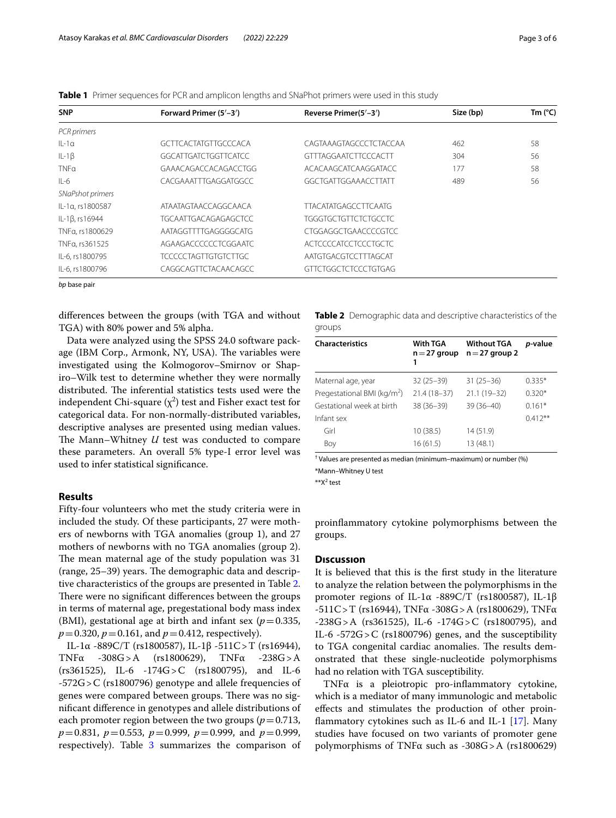| <b>SNP</b>       | Forward Primer (5'-3')      | Reverse Primer(5'-3')       | Size (bp) | Tm $(^{\circ}C)$ |
|------------------|-----------------------------|-----------------------------|-----------|------------------|
| PCR primers      |                             |                             |           |                  |
| $IL-1a$          | <b>GCTTCACTATGTTGCCCACA</b> | CAGTAAAGTAGCCCTCTACCAA      | 462       | 58               |
| $IL-1\beta$      | <b>GGCATTGATCTGGTTCATCC</b> | <b>GTTTAGGAATCTTCCCACTT</b> | 304       | 56               |
| <b>TNFa</b>      | GAAACAGACCACAGACCTGG        | ACACAAGCATCAAGGATACC        | 177       | 58               |
| $IL-6$           | CACGAAATTTGAGGATGGCC        | GGCTGATTGGAAACCTTATT        | 489       | 56               |
| SNaPshot primers |                             |                             |           |                  |
| IL-1a, rs1800587 | ATAATAGTAACCAGGCAACA        | <b>TTACATATGAGCCTTCAATG</b> |           |                  |
| IL-1B, rs16944   | <b>TGCAATTGACAGAGAGCTCC</b> | <b>TGGGTGCTGTTCTCTGCCTC</b> |           |                  |
| TNFa. rs1800629  | AATAGGTTTTGAGGGGCATG        | CTGGAGGCTGAACCCCGTCC        |           |                  |
| TNFa, rs361525   | AGAAGACCCCCCTCGGAATC        | ACTCCCCATCCTCCCTGCTC        |           |                  |
| IL-6, rs1800795  | <b>TCCCCCTAGTTGTGTCTTGC</b> | AATGTGACGTCCTTTAGCAT        |           |                  |
| IL-6, rs1800796  | CAGGCAGTTCTACAACAGCC        | <b>GTTCTGGCTCTCCCTGTGAG</b> |           |                  |
|                  |                             |                             |           |                  |

<span id="page-2-0"></span>

| <b>Table 1</b> Primer sequences for PCR and amplicon lengths and SNaPhot primers were used in this study |  |  |
|----------------------------------------------------------------------------------------------------------|--|--|
|                                                                                                          |  |  |

*bp* base pair

diferences between the groups (with TGA and without TGA) with 80% power and 5% alpha.

Data were analyzed using the SPSS 24.0 software package (IBM Corp., Armonk, NY, USA). The variables were investigated using the Kolmogorov–Smirnov or Shapiro–Wilk test to determine whether they were normally distributed. The inferential statistics tests used were the independent Chi-square  $(\chi^2)$  test and Fisher exact test for categorical data. For non-normally-distributed variables, descriptive analyses are presented using median values. The Mann-Whitney *U* test was conducted to compare these parameters. An overall 5% type-I error level was used to infer statistical signifcance.

# **Results**

Fifty-four volunteers who met the study criteria were in included the study. Of these participants, 27 were mothers of newborns with TGA anomalies (group 1), and 27 mothers of newborns with no TGA anomalies (group 2). The mean maternal age of the study population was 31  $(range, 25-39)$  years. The demographic data and descriptive characteristics of the groups are presented in Table [2](#page-2-1). There were no significant differences between the groups in terms of maternal age, pregestational body mass index (BMI), gestational age at birth and infant sex ( $p=0.335$ ,  $p = 0.320$ ,  $p = 0.161$ , and  $p = 0.412$ , respectively).

IL-1α -889C/T (rs1800587), IL-1β -511C>T (rs16944), TNFα -308G>A (rs1800629), TNFα -238G>A (rs361525), IL-6 -174G>C (rs1800795), and IL-6 -572G>C (rs1800796) genotype and allele frequencies of genes were compared between groups. There was no signifcant diference in genotypes and allele distributions of each promoter region between the two groups ( $p=0.713$ , *p*=0.831, *p*=0.553, *p*=0.999, *p*=0.999, and *p*=0.999, respectively). Table [3](#page-3-0) summarizes the comparison of <span id="page-2-1"></span>**Table 2** Demographic data and descriptive characteristics of the groups

| <b>Characteristics</b>                  | With TGA<br>$n = 27$ group<br>1 | <b>Without TGA</b><br>$n = 27$ group 2 | <i>p</i> -value |
|-----------------------------------------|---------------------------------|----------------------------------------|-----------------|
| Maternal age, year                      | $32(25-39)$                     | $31(25-36)$                            | $0.335*$        |
| Pregestational BMI (kg/m <sup>2</sup> ) | 21.4 (18-37)                    | $21.1(19-32)$                          | $0.320*$        |
| Gestational week at birth               | 38 (36-39)                      | $39(36 - 40)$                          | $0.161*$        |
| Infant sex                              |                                 |                                        | $0.412**$       |
| Girl                                    | 10 (38.5)                       | 14(51.9)                               |                 |
| Boy                                     | 16 (61.5)                       | 13 (48.1)                              |                 |

† Values are presented as median (minimum–maximum) or number (%) \*Mann–Whitney U test

\*\*X2 test

proinfammatory cytokine polymorphisms between the groups.

#### **Dıscussıon**

It is believed that this is the frst study in the literature to analyze the relation between the polymorphisms in the promoter regions of IL-1α -889C/T (rs1800587), IL-1β -511C>T (rs16944), TNFα -308G>A (rs1800629), TNFα -238G>A (rs361525), IL-6 -174G>C (rs1800795), and IL-6  $-572G > C$  (rs1800796) genes, and the susceptibility to TGA congenital cardiac anomalies. The results demonstrated that these single-nucleotide polymorphisms had no relation with TGA susceptibility.

TNFα is a pleiotropic pro-infammatory cytokine, which is a mediator of many immunologic and metabolic efects and stimulates the production of other proinflammatory cytokines such as IL-6 and IL-1  $[17]$  $[17]$ . Many studies have focused on two variants of promoter gene polymorphisms of TNFα such as -308G>A (rs1800629)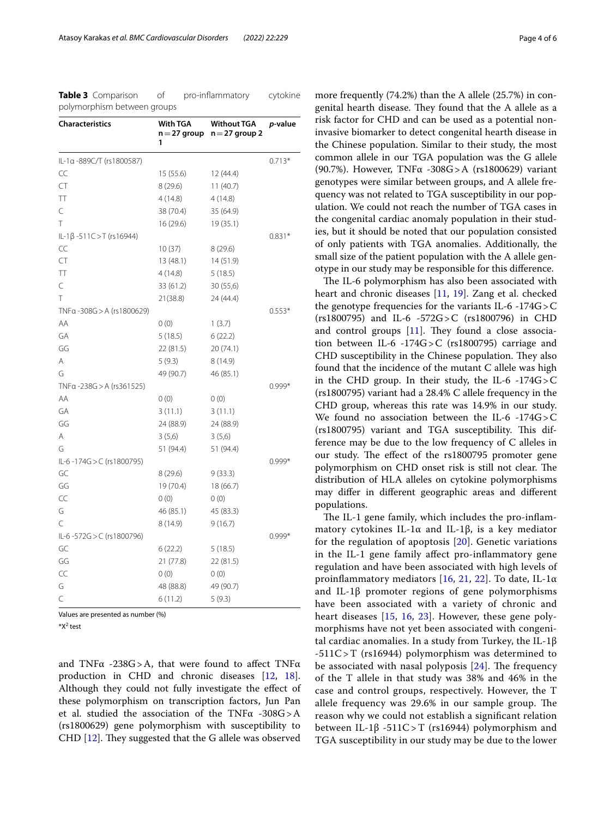| <b>Characteristics</b>     | <b>With TGA</b><br>1 | <b>Without TGA</b><br>$n=27$ group $n=27$ group 2 | <i>p</i> -value |
|----------------------------|----------------------|---------------------------------------------------|-----------------|
| IL-1a -889C/T (rs1800587)  |                      |                                                   | $0.713*$        |
| CC                         | 15(55.6)             | 12(44.4)                                          |                 |
| CT                         | 8(29.6)              | 11(40.7)                                          |                 |
| TT                         | 4 (14.8)             | 4(14.8)                                           |                 |
| C                          | 38 (70.4)            | 35 (64.9)                                         |                 |
| Τ                          | 16(29.6)             | 19 (35.1)                                         |                 |
| IL-1β -511C > T (rs16944)  |                      |                                                   | $0.831*$        |
| CC                         | 10(37)               | 8(29.6)                                           |                 |
| CT                         | 13(48.1)             | 14(51.9)                                          |                 |
| ТT                         | 4(14.8)              | 5(18.5)                                           |                 |
| C                          | 33 (61.2)            | 30(55,6)                                          |                 |
| Τ                          | 21(38.8)             | 24 (44.4)                                         |                 |
| TNFa -308G > A (rs1800629) |                      |                                                   | $0.553*$        |
| AA                         | 0(0)                 | 1(3.7)                                            |                 |
| GA                         | 5 (18.5)             | 6(22.2)                                           |                 |
| GG                         | 22 (81.5)            | 20(74.1)                                          |                 |
| Α                          | 5(9.3)               | 8(14.9)                                           |                 |
| G                          | 49 (90.7)            | 46 (85.1)                                         |                 |
| TNFa-238G > A (rs361525)   |                      |                                                   | $0.999*$        |
| ΑA                         | 0(0)                 | 0(0)                                              |                 |
| GA                         | 3(11.1)              | 3(11.1)                                           |                 |
| GG                         | 24 (88.9)            | 24 (88.9)                                         |                 |
| Α                          | 3(5,6)               | 3(5,6)                                            |                 |
| G                          | 51 (94.4)            | 51 (94.4)                                         |                 |
| IL-6-174G > C (rs1800795)  |                      |                                                   | $0.999*$        |
| GC                         | 8(29.6)              | 9(33.3)                                           |                 |
| GG                         | 19 (70.4)            | 18 (66.7)                                         |                 |
| CC                         | 0(0)                 | 0(0)                                              |                 |
| G                          | 46 (85.1)            | 45 (83.3)                                         |                 |
| C                          | 8(14.9)              | 9(16.7)                                           |                 |
| IL-6-572G > C (rs1800796)  |                      |                                                   | $0.999*$        |
| GC                         | 6(22.2)              | 5(18.5)                                           |                 |
| GG                         | 21 (77.8)            | 22 (81.5)                                         |                 |
| CC                         | 0(0)                 | 0(0)                                              |                 |
| G                          | 48 (88.8)            | 49 (90.7)                                         |                 |
| C                          | 6(11.2)              | 5(9.3)                                            |                 |

<span id="page-3-0"></span>**Table 3** Comparison of pro-inflammatory cytokine polymorphism between groups

Values are presented as number (%)

 $*$ X<sup>2</sup> test

and TNF $\alpha$  -238G > A, that were found to affect TNF $\alpha$ production in CHD and chronic diseases [\[12](#page-4-10), [18](#page-5-5)]. Although they could not fully investigate the efect of these polymorphism on transcription factors, Jun Pan et al. studied the association of the TNFα -308G>A (rs1800629) gene polymorphism with susceptibility to CHD  $[12]$  $[12]$ . They suggested that the G allele was observed

more frequently (74.2%) than the A allele (25.7%) in congenital hearth disease. They found that the A allele as a risk factor for CHD and can be used as a potential noninvasive biomarker to detect congenital hearth disease in the Chinese population. Similar to their study, the most common allele in our TGA population was the G allele (90.7%). However, TNFα -308G>A (rs1800629) variant genotypes were similar between groups, and A allele frequency was not related to TGA susceptibility in our population. We could not reach the number of TGA cases in the congenital cardiac anomaly population in their studies, but it should be noted that our population consisted of only patients with TGA anomalies. Additionally, the small size of the patient population with the A allele genotype in our study may be responsible for this diference.

The IL-6 polymorphism has also been associated with heart and chronic diseases [[11](#page-4-9), [19\]](#page-5-6). Zang et al. checked the genotype frequencies for the variants IL-6 -174 $G > C$ (rs1800795) and IL-6 -572G>C (rs1800796) in CHD and control groups  $[11]$ . They found a close association between IL-6 -174G>C (rs1800795) carriage and CHD susceptibility in the Chinese population. They also found that the incidence of the mutant C allele was high in the CHD group. In their study, the IL-6 -174G>C (rs1800795) variant had a 28.4% C allele frequency in the CHD group, whereas this rate was 14.9% in our study. We found no association between the IL-6 -174G>C  $(rs1800795)$  variant and TGA susceptibility. This difference may be due to the low frequency of C alleles in our study. The effect of the rs1800795 promoter gene polymorphism on CHD onset risk is still not clear. The distribution of HLA alleles on cytokine polymorphisms may difer in diferent geographic areas and diferent populations.

The IL-1 gene family, which includes the pro-inflammatory cytokines IL-1α and IL-1β, is a key mediator for the regulation of apoptosis [[20\]](#page-5-7). Genetic variations in the IL-1 gene family afect pro-infammatory gene regulation and have been associated with high levels of proinflammatory mediators [[16](#page-5-3), [21,](#page-5-8) [22](#page-5-9)]. To date, IL-1α and IL-1β promoter regions of gene polymorphisms have been associated with a variety of chronic and heart diseases [[15](#page-5-2), [16](#page-5-3), [23\]](#page-5-10). However, these gene polymorphisms have not yet been associated with congenital cardiac anomalies. In a study from Turkey, the IL-1β  $-511C > T$  (rs16944) polymorphism was determined to be associated with nasal polyposis  $[24]$ . The frequency of the T allele in that study was 38% and 46% in the case and control groups, respectively. However, the T allele frequency was 29.6% in our sample group. The reason why we could not establish a signifcant relation between IL-1β -511C>T (rs16944) polymorphism and TGA susceptibility in our study may be due to the lower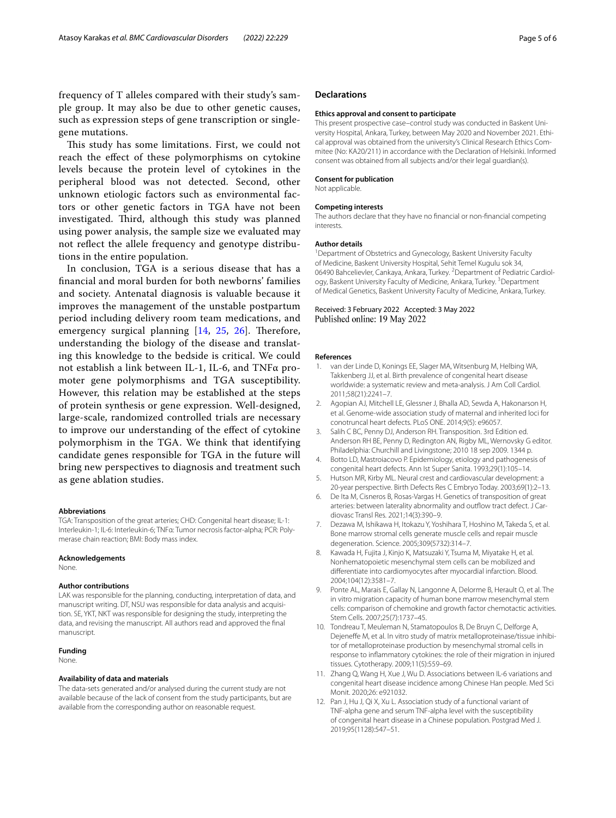This study has some limitations. First, we could not reach the efect of these polymorphisms on cytokine levels because the protein level of cytokines in the peripheral blood was not detected. Second, other unknown etiologic factors such as environmental factors or other genetic factors in TGA have not been investigated. Third, although this study was planned using power analysis, the sample size we evaluated may not refect the allele frequency and genotype distributions in the entire population.

In conclusion, TGA is a serious disease that has a fnancial and moral burden for both newborns' families and society. Antenatal diagnosis is valuable because it improves the management of the unstable postpartum period including delivery room team medications, and emergency surgical planning  $[14, 25, 26]$  $[14, 25, 26]$  $[14, 25, 26]$  $[14, 25, 26]$  $[14, 25, 26]$ . Therefore, understanding the biology of the disease and translating this knowledge to the bedside is critical. We could not establish a link between IL-1, IL-6, and TNFα promoter gene polymorphisms and TGA susceptibility. However, this relation may be established at the steps of protein synthesis or gene expression. Well-designed, large-scale, randomized controlled trials are necessary to improve our understanding of the efect of cytokine polymorphism in the TGA. We think that identifying candidate genes responsible for TGA in the future will bring new perspectives to diagnosis and treatment such as gene ablation studies.

#### **Abbreviations**

TGA: Transposition of the great arteries; CHD: Congenital heart disease; IL-1: Interleukin-1; IL-6: Interleukin-6; TNFα: Tumor necrosis factor-alpha; PCR: Polymerase chain reaction; BMI: Body mass index.

#### **Acknowledgements**

None.

#### **Author contributions**

LAK was responsible for the planning, conducting, interpretation of data, and manuscript writing. DT, NSU was responsible for data analysis and acquisition. SE, YKT, NKT was responsible for designing the study, interpreting the data, and revising the manuscript. All authors read and approved the fnal manuscript.

# **Funding**

None.

#### **Availability of data and materials**

The data-sets generated and/or analysed during the current study are not available because of the lack of consent from the study participants, but are available from the corresponding author on reasonable request.

#### **Declarations**

#### **Ethics approval and consent to participate**

This present prospective case–control study was conducted in Baskent University Hospital, Ankara, Turkey, between May 2020 and November 2021. Ethical approval was obtained from the university's Clinical Research Ethics Commitee (No: KA20/211) in accordance with the Declaration of Helsinki. Informed consent was obtained from all subjects and/or their legal guardian(s).

#### **Consent for publication**

Not applicable.

#### **Competing interests**

The authors declare that they have no fnancial or non-fnancial competing interests.

#### **Author details**

<sup>1</sup> Department of Obstetrics and Gynecology, Baskent University Faculty of Medicine, Baskent University Hospital, Sehit Temel Kugulu sok 34, 06490 Bahcelievler, Cankaya, Ankara, Turkey. <sup>2</sup> Department of Pediatric Cardiology, Baskent University Faculty of Medicine, Ankara, Turkey. <sup>3</sup> Department of Medical Genetics, Baskent University Faculty of Medicine, Ankara, Turkey.

#### Received: 3 February 2022 Accepted: 3 May 2022 Published online: 19 May 2022

#### **References**

- <span id="page-4-0"></span>1. van der Linde D, Konings EE, Slager MA, Witsenburg M, Helbing WA, Takkenberg JJ, et al. Birth prevalence of congenital heart disease worldwide: a systematic review and meta-analysis. J Am Coll Cardiol. 2011;58(21):2241–7.
- <span id="page-4-1"></span>2. Agopian AJ, Mitchell LE, Glessner J, Bhalla AD, Sewda A, Hakonarson H, et al. Genome-wide association study of maternal and inherited loci for conotruncal heart defects. PLoS ONE. 2014;9(5): e96057.
- <span id="page-4-2"></span>3. Salih C BC, Penny DJ, Anderson RH. Transposition. 3rd Edition ed. Anderson RH BE, Penny D, Redington AN, Rigby ML, Wernovsky G editor. Philadelphia: Churchill and Livingstone; 2010 18 sep 2009. 1344 p.
- <span id="page-4-3"></span>4. Botto LD, Mastroiacovo P. Epidemiology, etiology and pathogenesis of congenital heart defects. Ann Ist Super Sanita. 1993;29(1):105–14.
- 5. Hutson MR, Kirby ML. Neural crest and cardiovascular development: a 20-year perspective. Birth Defects Res C Embryo Today. 2003;69(1):2–13.
- <span id="page-4-4"></span>6. De Ita M, Cisneros B, Rosas-Vargas H. Genetics of transposition of great arteries: between laterality abnormality and outflow tract defect. J Cardiovasc Transl Res. 2021;14(3):390–9.
- <span id="page-4-5"></span>7. Dezawa M, Ishikawa H, Itokazu Y, Yoshihara T, Hoshino M, Takeda S, et al. Bone marrow stromal cells generate muscle cells and repair muscle degeneration. Science. 2005;309(5732):314–7.
- <span id="page-4-6"></span>8. Kawada H, Fujita J, Kinjo K, Matsuzaki Y, Tsuma M, Miyatake H, et al. Nonhematopoietic mesenchymal stem cells can be mobilized and diferentiate into cardiomyocytes after myocardial infarction. Blood. 2004;104(12):3581–7.
- <span id="page-4-7"></span>9. Ponte AL, Marais E, Gallay N, Langonne A, Delorme B, Herault O, et al. The in vitro migration capacity of human bone marrow mesenchymal stem cells: comparison of chemokine and growth factor chemotactic activities. Stem Cells. 2007;25(7):1737–45.
- <span id="page-4-8"></span>10. Tondreau T, Meuleman N, Stamatopoulos B, De Bruyn C, Delforge A, Dejeneffe M, et al. In vitro study of matrix metalloproteinase/tissue inhibitor of metalloproteinase production by mesenchymal stromal cells in response to infammatory cytokines: the role of their migration in injured tissues. Cytotherapy. 2009;11(5):559–69.
- <span id="page-4-9"></span>11. Zhang Q, Wang H, Xue J, Wu D. Associations between IL-6 variations and congenital heart disease incidence among Chinese Han people. Med Sci Monit. 2020;26: e921032.
- <span id="page-4-10"></span>12. Pan J, Hu J, Qi X, Xu L. Association study of a functional variant of TNF-alpha gene and serum TNF-alpha level with the susceptibility of congenital heart disease in a Chinese population. Postgrad Med J. 2019;95(1128):547–51.